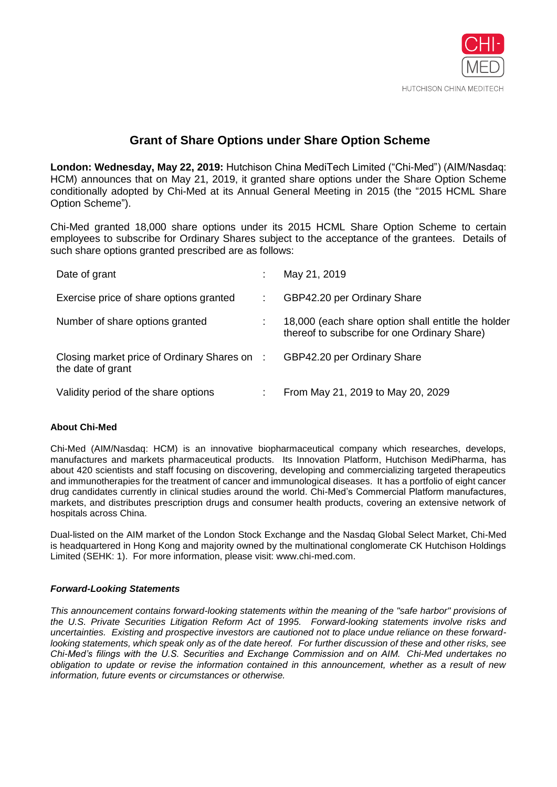

## **Grant of Share Options under Share Option Scheme**

**London: Wednesday, May 22, 2019:** Hutchison China MediTech Limited ("Chi-Med") (AIM/Nasdaq: HCM) announces that on May 21, 2019, it granted share options under the Share Option Scheme conditionally adopted by Chi-Med at its Annual General Meeting in 2015 (the "2015 HCML Share Option Scheme").

Chi-Med granted 18,000 share options under its 2015 HCML Share Option Scheme to certain employees to subscribe for Ordinary Shares subject to the acceptance of the grantees. Details of such share options granted prescribed are as follows:

| Date of grant                                                     | May 21, 2019                                                                                       |
|-------------------------------------------------------------------|----------------------------------------------------------------------------------------------------|
| Exercise price of share options granted                           | GBP42.20 per Ordinary Share                                                                        |
| Number of share options granted                                   | 18,000 (each share option shall entitle the holder<br>thereof to subscribe for one Ordinary Share) |
| Closing market price of Ordinary Shares on :<br>the date of grant | GBP42.20 per Ordinary Share                                                                        |
| Validity period of the share options                              | From May 21, 2019 to May 20, 2029                                                                  |

## **About Chi-Med**

Chi-Med (AIM/Nasdaq: HCM) is an innovative biopharmaceutical company which researches, develops, manufactures and markets pharmaceutical products. Its Innovation Platform, Hutchison MediPharma, has about 420 scientists and staff focusing on discovering, developing and commercializing targeted therapeutics and immunotherapies for the treatment of cancer and immunological diseases. It has a portfolio of eight cancer drug candidates currently in clinical studies around the world. Chi-Med's Commercial Platform manufactures, markets, and distributes prescription drugs and consumer health products, covering an extensive network of hospitals across China.

Dual-listed on the AIM market of the London Stock Exchange and the Nasdaq Global Select Market, Chi-Med is headquartered in Hong Kong and majority owned by the multinational conglomerate CK Hutchison Holdings Limited (SEHK: 1). For more information, please visit: www.chi-med.com.

## *Forward-Looking Statements*

*This announcement contains forward-looking statements within the meaning of the "safe harbor" provisions of the U.S. Private Securities Litigation Reform Act of 1995. Forward-looking statements involve risks and uncertainties. Existing and prospective investors are cautioned not to place undue reliance on these forwardlooking statements, which speak only as of the date hereof. For further discussion of these and other risks, see Chi-Med's filings with the U.S. Securities and Exchange Commission and on AIM. Chi-Med undertakes no obligation to update or revise the information contained in this announcement, whether as a result of new information, future events or circumstances or otherwise.*